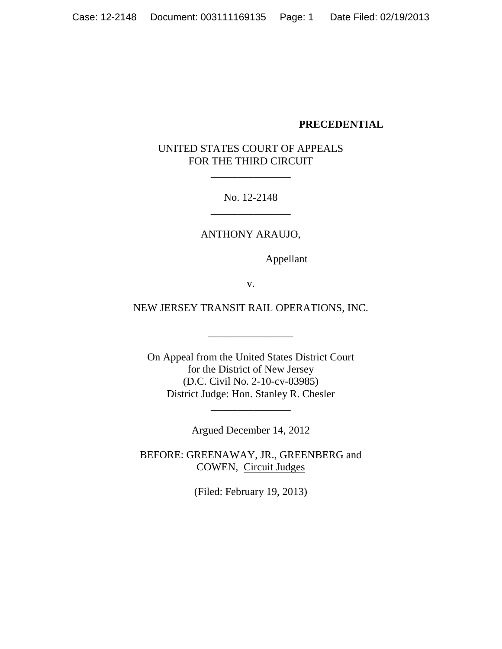## **PRECEDENTIAL**

# UNITED STATES COURT OF APPEALS FOR THE THIRD CIRCUIT

\_\_\_\_\_\_\_\_\_\_\_\_\_\_\_

No. 12-2148 \_\_\_\_\_\_\_\_\_\_\_\_\_\_\_

ANTHONY ARAUJO,

Appellant

v.

NEW JERSEY TRANSIT RAIL OPERATIONS, INC.

\_\_\_\_\_\_\_\_\_\_\_\_\_\_\_\_

On Appeal from the United States District Court for the District of New Jersey (D.C. Civil No. 2-10-cv-03985) District Judge: Hon. Stanley R. Chesler

Argued December 14, 2012

\_\_\_\_\_\_\_\_\_\_\_\_\_\_\_

BEFORE: GREENAWAY, JR., GREENBERG and COWEN, Circuit Judges

(Filed: February 19, 2013)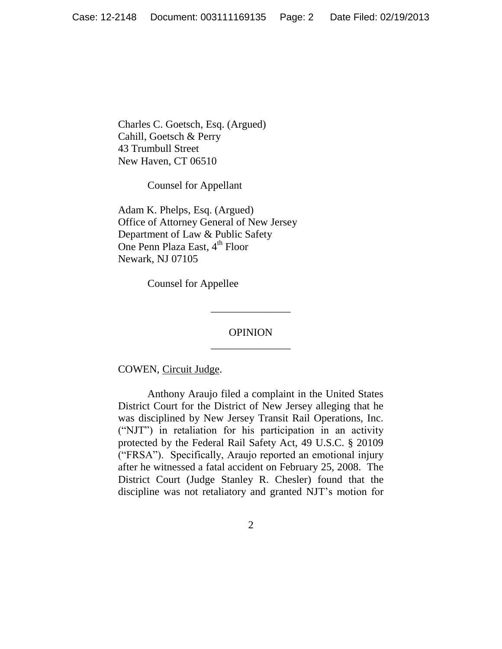Charles C. Goetsch, Esq. (Argued) Cahill, Goetsch & Perry 43 Trumbull Street New Haven, CT 06510

Counsel for Appellant

Adam K. Phelps, Esq. (Argued) Office of Attorney General of New Jersey Department of Law & Public Safety One Penn Plaza East, 4<sup>th</sup> Floor Newark, NJ 07105

Counsel for Appellee

## OPINION \_\_\_\_\_\_\_\_\_\_\_\_\_\_\_

\_\_\_\_\_\_\_\_\_\_\_\_\_\_\_

COWEN, Circuit Judge.

Anthony Araujo filed a complaint in the United States District Court for the District of New Jersey alleging that he was disciplined by New Jersey Transit Rail Operations, Inc. ("NJT") in retaliation for his participation in an activity protected by the Federal Rail Safety Act, 49 U.S.C. § 20109 ("FRSA"). Specifically, Araujo reported an emotional injury after he witnessed a fatal accident on February 25, 2008. The District Court (Judge Stanley R. Chesler) found that the discipline was not retaliatory and granted NJT's motion for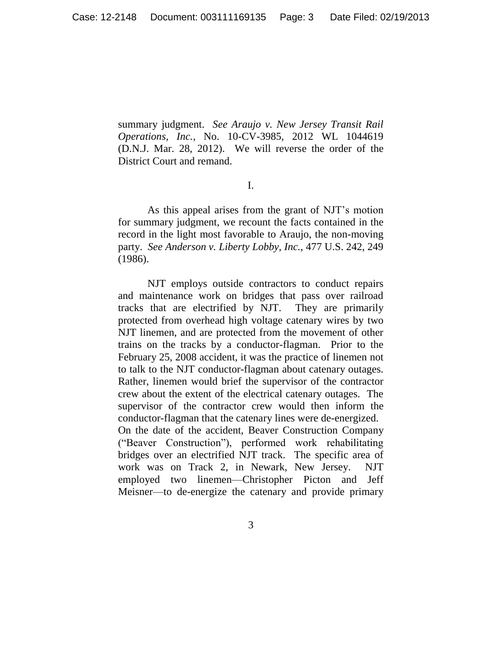summary judgment. *See Araujo v. New Jersey Transit Rail Operations, Inc.*, No. 10-CV-3985, 2012 WL 1044619 (D.N.J. Mar. 28, 2012). We will reverse the order of the District Court and remand.

I.

As this appeal arises from the grant of NJT's motion for summary judgment, we recount the facts contained in the record in the light most favorable to Araujo, the non-moving party. *See Anderson v. Liberty Lobby, Inc.,* 477 U.S. 242, 249 (1986).

NJT employs outside contractors to conduct repairs and maintenance work on bridges that pass over railroad tracks that are electrified by NJT. They are primarily protected from overhead high voltage catenary wires by two NJT linemen, and are protected from the movement of other trains on the tracks by a conductor-flagman. Prior to the February 25, 2008 accident, it was the practice of linemen not to talk to the NJT conductor-flagman about catenary outages. Rather, linemen would brief the supervisor of the contractor crew about the extent of the electrical catenary outages. The supervisor of the contractor crew would then inform the conductor-flagman that the catenary lines were de-energized. On the date of the accident, Beaver Construction Company ("Beaver Construction"), performed work rehabilitating bridges over an electrified NJT track. The specific area of

work was on Track 2, in Newark, New Jersey. NJT employed two linemen—Christopher Picton and Jeff Meisner—to de-energize the catenary and provide primary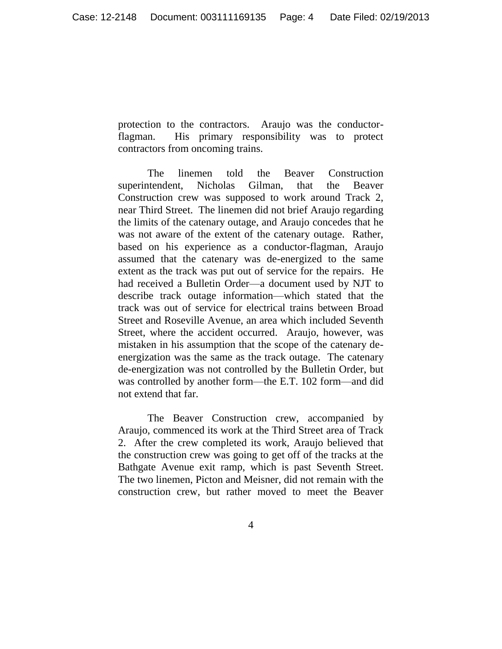protection to the contractors. Araujo was the conductorflagman. His primary responsibility was to protect contractors from oncoming trains.

The linemen told the Beaver Construction superintendent, Nicholas Gilman, that the Beaver Construction crew was supposed to work around Track 2, near Third Street. The linemen did not brief Araujo regarding the limits of the catenary outage, and Araujo concedes that he was not aware of the extent of the catenary outage. Rather, based on his experience as a conductor-flagman, Araujo assumed that the catenary was de-energized to the same extent as the track was put out of service for the repairs. He had received a Bulletin Order—a document used by NJT to describe track outage information—which stated that the track was out of service for electrical trains between Broad Street and Roseville Avenue, an area which included Seventh Street, where the accident occurred. Araujo, however, was mistaken in his assumption that the scope of the catenary deenergization was the same as the track outage. The catenary de-energization was not controlled by the Bulletin Order, but was controlled by another form—the E.T. 102 form—and did not extend that far.

The Beaver Construction crew, accompanied by Araujo, commenced its work at the Third Street area of Track 2. After the crew completed its work, Araujo believed that the construction crew was going to get off of the tracks at the Bathgate Avenue exit ramp, which is past Seventh Street. The two linemen, Picton and Meisner, did not remain with the construction crew, but rather moved to meet the Beaver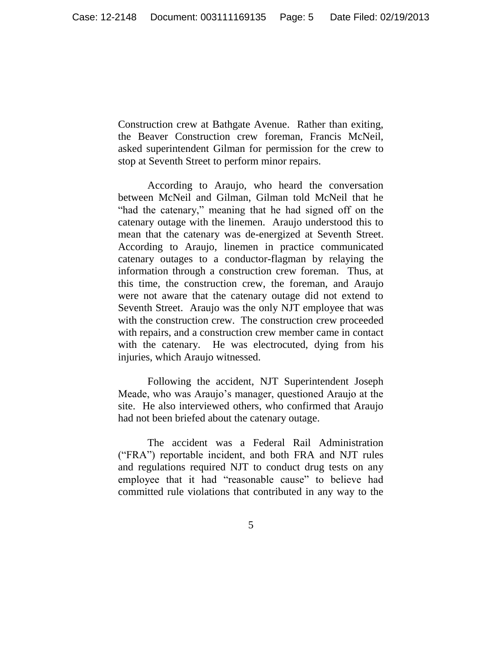Construction crew at Bathgate Avenue. Rather than exiting, the Beaver Construction crew foreman, Francis McNeil, asked superintendent Gilman for permission for the crew to stop at Seventh Street to perform minor repairs.

According to Araujo, who heard the conversation between McNeil and Gilman, Gilman told McNeil that he "had the catenary," meaning that he had signed off on the catenary outage with the linemen. Araujo understood this to mean that the catenary was de-energized at Seventh Street. According to Araujo, linemen in practice communicated catenary outages to a conductor-flagman by relaying the information through a construction crew foreman. Thus, at this time, the construction crew, the foreman, and Araujo were not aware that the catenary outage did not extend to Seventh Street. Araujo was the only NJT employee that was with the construction crew. The construction crew proceeded with repairs, and a construction crew member came in contact with the catenary. He was electrocuted, dying from his injuries, which Araujo witnessed.

Following the accident, NJT Superintendent Joseph Meade, who was Araujo's manager, questioned Araujo at the site. He also interviewed others, who confirmed that Araujo had not been briefed about the catenary outage.

The accident was a Federal Rail Administration ("FRA") reportable incident, and both FRA and NJT rules and regulations required NJT to conduct drug tests on any employee that it had "reasonable cause" to believe had committed rule violations that contributed in any way to the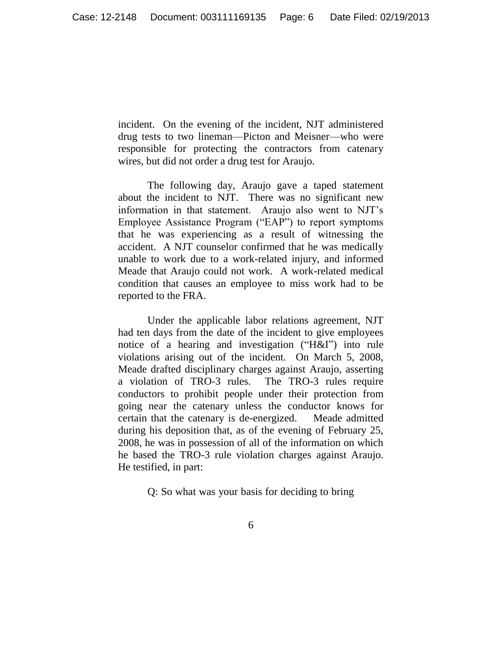incident. On the evening of the incident, NJT administered drug tests to two lineman—Picton and Meisner—who were responsible for protecting the contractors from catenary wires, but did not order a drug test for Araujo.

The following day, Araujo gave a taped statement about the incident to NJT. There was no significant new information in that statement. Araujo also went to NJT's Employee Assistance Program ("EAP") to report symptoms that he was experiencing as a result of witnessing the accident. A NJT counselor confirmed that he was medically unable to work due to a work-related injury, and informed Meade that Araujo could not work. A work-related medical condition that causes an employee to miss work had to be reported to the FRA.

Under the applicable labor relations agreement, NJT had ten days from the date of the incident to give employees notice of a hearing and investigation ("H&I") into rule violations arising out of the incident. On March 5, 2008, Meade drafted disciplinary charges against Araujo, asserting a violation of TRO-3 rules. The TRO-3 rules require conductors to prohibit people under their protection from going near the catenary unless the conductor knows for certain that the catenary is de-energized. Meade admitted during his deposition that, as of the evening of February 25, 2008, he was in possession of all of the information on which he based the TRO-3 rule violation charges against Araujo. He testified, in part:

Q: So what was your basis for deciding to bring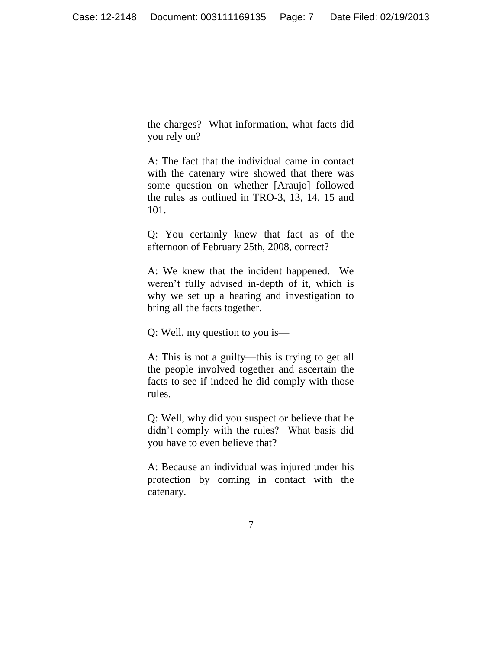the charges? What information, what facts did you rely on?

A: The fact that the individual came in contact with the catenary wire showed that there was some question on whether [Araujo] followed the rules as outlined in TRO-3, 13, 14, 15 and 101.

Q: You certainly knew that fact as of the afternoon of February 25th, 2008, correct?

A: We knew that the incident happened. We weren't fully advised in-depth of it, which is why we set up a hearing and investigation to bring all the facts together.

Q: Well, my question to you is—

A: This is not a guilty—this is trying to get all the people involved together and ascertain the facts to see if indeed he did comply with those rules.

Q: Well, why did you suspect or believe that he didn't comply with the rules? What basis did you have to even believe that?

A: Because an individual was injured under his protection by coming in contact with the catenary.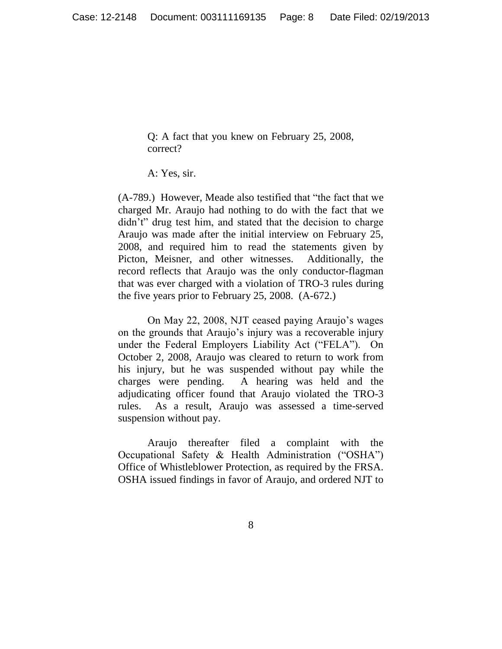Q: A fact that you knew on February 25, 2008, correct?

A: Yes, sir.

(A-789.) However, Meade also testified that "the fact that we charged Mr. Araujo had nothing to do with the fact that we didn't" drug test him, and stated that the decision to charge Araujo was made after the initial interview on February 25, 2008, and required him to read the statements given by Picton, Meisner, and other witnesses. Additionally, the record reflects that Araujo was the only conductor-flagman that was ever charged with a violation of TRO-3 rules during the five years prior to February 25, 2008. (A-672.)

On May 22, 2008, NJT ceased paying Araujo's wages on the grounds that Araujo's injury was a recoverable injury under the Federal Employers Liability Act ("FELA"). On October 2, 2008, Araujo was cleared to return to work from his injury, but he was suspended without pay while the charges were pending. A hearing was held and the adjudicating officer found that Araujo violated the TRO-3 rules. As a result, Araujo was assessed a time-served suspension without pay.

Araujo thereafter filed a complaint with the Occupational Safety & Health Administration ("OSHA") Office of Whistleblower Protection, as required by the FRSA. OSHA issued findings in favor of Araujo, and ordered NJT to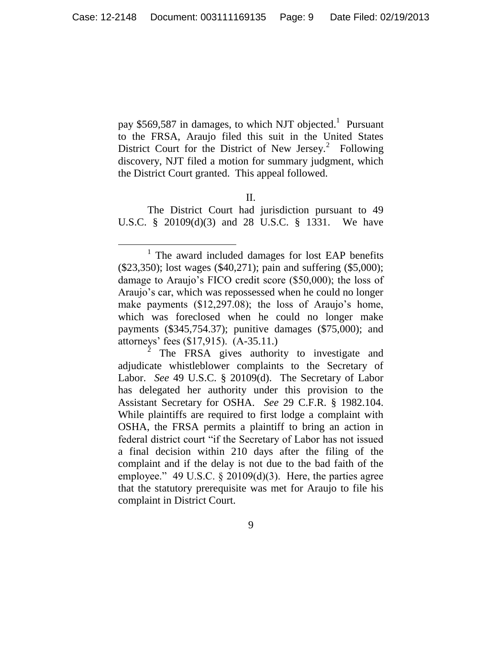pay \$569,587 in damages, to which NJT objected.<sup>1</sup> Pursuant to the FRSA, Araujo filed this suit in the United States District Court for the District of New Jersey.<sup>2</sup> Following discovery, NJT filed a motion for summary judgment, which the District Court granted. This appeal followed.

II.

The District Court had jurisdiction pursuant to 49 U.S.C. § 20109(d)(3) and 28 U.S.C. § 1331. We have

 $\overline{a}$ <sup>1</sup> The award included damages for lost EAP benefits (\$23,350); lost wages (\$40,271); pain and suffering (\$5,000); damage to Araujo's FICO credit score (\$50,000); the loss of Araujo's car, which was repossessed when he could no longer make payments (\$12,297.08); the loss of Araujo's home, which was foreclosed when he could no longer make payments (\$345,754.37); punitive damages (\$75,000); and attorneys' fees (\$17,915). (A-35.11.)

 $\bar{2}$ The FRSA gives authority to investigate and adjudicate whistleblower complaints to the Secretary of Labor. *See* 49 U.S.C. § 20109(d). The Secretary of Labor has delegated her authority under this provision to the Assistant Secretary for OSHA. *See* 29 C.F.R. § 1982.104. While plaintiffs are required to first lodge a complaint with OSHA, the FRSA permits a plaintiff to bring an action in federal district court "if the Secretary of Labor has not issued a final decision within 210 days after the filing of the complaint and if the delay is not due to the bad faith of the employee." 49 U.S.C.  $\S$  20109(d)(3). Here, the parties agree that the statutory prerequisite was met for Araujo to file his complaint in District Court.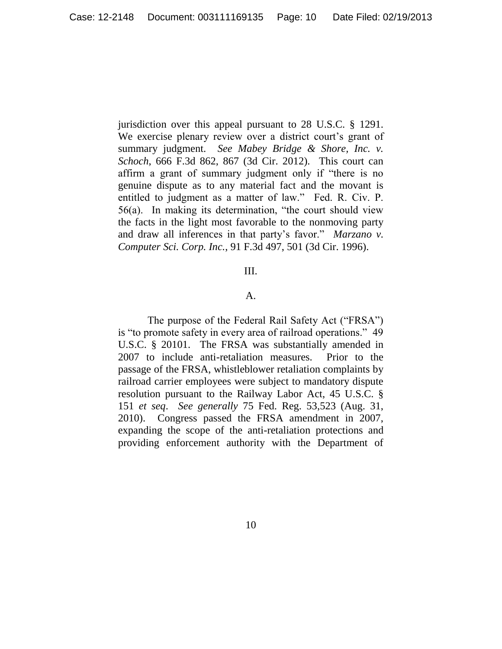jurisdiction over this appeal pursuant to 28 U.S.C. § 1291. We exercise plenary review over a district court's grant of summary judgment. *See Mabey Bridge & Shore, Inc. v. Schoch*, 666 F.3d 862, 867 (3d Cir. 2012). This court can affirm a grant of summary judgment only if "there is no genuine dispute as to any material fact and the movant is entitled to judgment as a matter of law." Fed. R. Civ. P. 56(a). In making its determination, "the court should view the facts in the light most favorable to the nonmoving party and draw all inferences in that party's favor." *Marzano v. Computer Sci. Corp. Inc.*, 91 F.3d 497, 501 (3d Cir. 1996).

## III.

#### A.

The purpose of the Federal Rail Safety Act ("FRSA") is "to promote safety in every area of railroad operations." 49 U.S.C. § 20101. The FRSA was substantially amended in 2007 to include anti-retaliation measures. Prior to the passage of the FRSA, whistleblower retaliation complaints by railroad carrier employees were subject to mandatory dispute resolution pursuant to the Railway Labor Act, 45 U.S.C. § 151 *et seq*. *See generally* 75 Fed. Reg. 53,523 (Aug. 31, 2010).Congress passed the FRSA amendment in 2007, expanding the scope of the anti-retaliation protections and providing enforcement authority with the Department of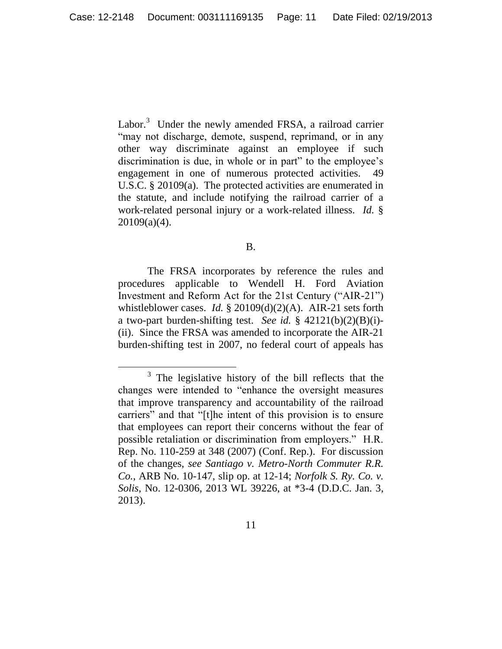Labor.<sup>3</sup> Under the newly amended FRSA, a railroad carrier "may not discharge, demote, suspend, reprimand, or in any other way discriminate against an employee if such discrimination is due, in whole or in part" to the employee's engagement in one of numerous protected activities. 49 U.S.C. § 20109(a). The protected activities are enumerated in the statute, and include notifying the railroad carrier of a work-related personal injury or a work-related illness. *Id.* § 20109(a)(4).

#### B.

The FRSA incorporates by reference the rules and procedures applicable to Wendell H. Ford Aviation Investment and Reform Act for the 21st Century ("AIR-21") whistleblower cases. *Id.* § 20109(d)(2)(A). AIR-21 sets forth a two-part burden-shifting test. *See id.* § 42121(b)(2)(B)(i)- (ii). Since the FRSA was amended to incorporate the AIR-21 burden-shifting test in 2007, no federal court of appeals has

 $\overline{a}$ 

 $3$  The legislative history of the bill reflects that the changes were intended to "enhance the oversight measures that improve transparency and accountability of the railroad carriers" and that "[t]he intent of this provision is to ensure that employees can report their concerns without the fear of possible retaliation or discrimination from employers." H.R. Rep. No. 110-259 at 348 (2007) (Conf. Rep.). For discussion of the changes, *see Santiago v. Metro-North Commuter R.R. Co.*, ARB No. 10-147, slip op. at 12-14; *Norfolk S. Ry. Co. v. Solis*, No. 12-0306, 2013 WL 39226, at \*3-4 (D.D.C. Jan. 3, 2013).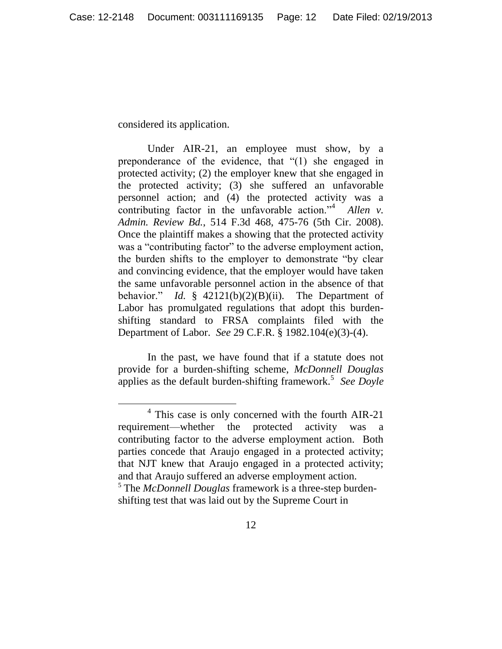considered its application.

 $\overline{a}$ 

Under AIR-21, an employee must show, by a preponderance of the evidence, that "(1) she engaged in protected activity; (2) the employer knew that she engaged in the protected activity; (3) she suffered an unfavorable personnel action; and (4) the protected activity was a contributing factor in the unfavorable action."<sup>4</sup> Allen v. *Admin. Review Bd.*, 514 F.3d 468, 475-76 (5th Cir. 2008). Once the plaintiff makes a showing that the protected activity was a "contributing factor" to the adverse employment action, the burden shifts to the employer to demonstrate "by clear and convincing evidence, that the employer would have taken the same unfavorable personnel action in the absence of that behavior." *Id.* § 42121(b)(2)(B)(ii). The Department of Labor has promulgated regulations that adopt this burdenshifting standard to FRSA complaints filed with the Department of Labor. *See* 29 C.F.R. § 1982.104(e)(3)-(4).

In the past, we have found that if a statute does not provide for a burden-shifting scheme, *McDonnell Douglas* applies as the default burden-shifting framework.<sup>5</sup> See Doyle

<sup>&</sup>lt;sup>4</sup> This case is only concerned with the fourth AIR-21 requirement—whether the protected activity was a contributing factor to the adverse employment action. Both parties concede that Araujo engaged in a protected activity; that NJT knew that Araujo engaged in a protected activity; and that Araujo suffered an adverse employment action. <sup>5</sup> The *McDonnell Douglas* framework is a three-step burden-

shifting test that was laid out by the Supreme Court in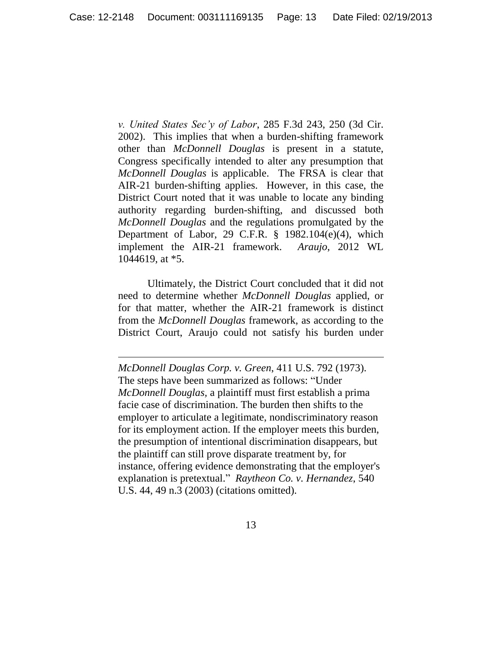*v. United States Sec'y of Labor*, 285 F.3d 243, 250 (3d Cir. 2002). This implies that when a burden-shifting framework other than *McDonnell Douglas* is present in a statute, Congress specifically intended to alter any presumption that *McDonnell Douglas* is applicable. The FRSA is clear that AIR-21 burden-shifting applies. However, in this case, the District Court noted that it was unable to locate any binding authority regarding burden-shifting, and discussed both *McDonnell Douglas* and the regulations promulgated by the Department of Labor, 29 C.F.R.  $\S$  1982.104(e)(4), which implement the AIR-21 framework. *Araujo*, 2012 WL 1044619, at \*5.

Ultimately, the District Court concluded that it did not need to determine whether *McDonnell Douglas* applied, or for that matter, whether the AIR-21 framework is distinct from the *McDonnell Douglas* framework, as according to the District Court, Araujo could not satisfy his burden under

 $\overline{a}$ 

*McDonnell Douglas Corp. v. Green*, 411 U.S. 792 (1973). The steps have been summarized as follows: "Under *McDonnell Douglas,* a plaintiff must first establish a prima facie case of discrimination. The burden then shifts to the employer to articulate a legitimate, nondiscriminatory reason for its employment action. If the employer meets this burden, the presumption of intentional discrimination disappears, but the plaintiff can still prove disparate treatment by, for instance, offering evidence demonstrating that the employer's explanation is pretextual." *Raytheon Co. v. Hernandez*, 540 U.S. 44, 49 n.3 (2003) (citations omitted).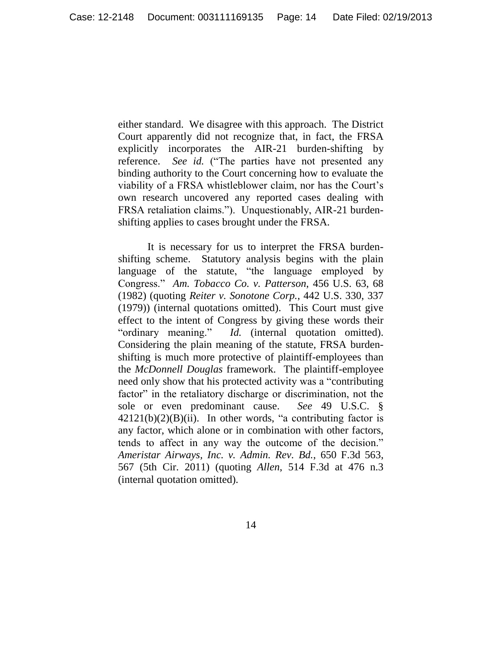either standard. We disagree with this approach. The District Court apparently did not recognize that, in fact, the FRSA explicitly incorporates the AIR-21 burden-shifting by reference. *See id.* ("The parties have not presented any binding authority to the Court concerning how to evaluate the viability of a FRSA whistleblower claim, nor has the Court's own research uncovered any reported cases dealing with FRSA retaliation claims."). Unquestionably, AIR-21 burdenshifting applies to cases brought under the FRSA.

It is necessary for us to interpret the FRSA burdenshifting scheme. Statutory analysis begins with the plain language of the statute, "the language employed by Congress." *Am. Tobacco Co. v. Patterson*, 456 U.S. 63, 68 (1982) (quoting *Reiter v. Sonotone Corp.*, 442 U.S. 330, 337 (1979)) (internal quotations omitted). This Court must give effect to the intent of Congress by giving these words their "ordinary meaning." *Id.* (internal quotation omitted). Considering the plain meaning of the statute, FRSA burdenshifting is much more protective of plaintiff-employees than the *McDonnell Douglas* framework. The plaintiff-employee need only show that his protected activity was a "contributing factor" in the retaliatory discharge or discrimination, not the sole or even predominant cause. *See* 49 U.S.C. §  $42121(b)(2)(B)(ii)$ . In other words, "a contributing factor is any factor, which alone or in combination with other factors, tends to affect in any way the outcome of the decision." *Ameristar Airways, Inc. v. Admin. Rev. Bd.*, 650 F.3d 563, 567 (5th Cir. 2011) (quoting *Allen*, 514 F.3d at 476 n.3 (internal quotation omitted).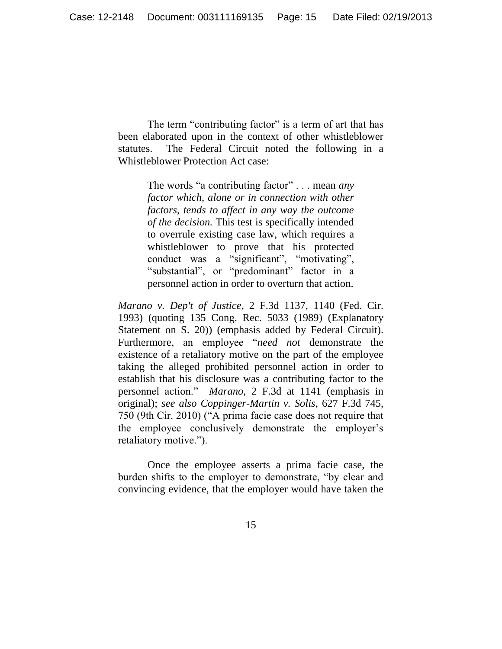The term "contributing factor" is a term of art that has been elaborated upon in the context of other whistleblower statutes. The Federal Circuit noted the following in a Whistleblower Protection Act case:

> The words "a contributing factor" . . . mean *any factor which, alone or in connection with other factors, tends to affect in any way the outcome of the decision.* This test is specifically intended to overrule existing case law, which requires a whistleblower to prove that his protected conduct was a "significant", "motivating", "substantial", or "predominant" factor in a personnel action in order to overturn that action.

*Marano v. Dep't of Justice*, 2 F.3d 1137, 1140 (Fed. Cir. 1993) (quoting 135 Cong. Rec. 5033 (1989) (Explanatory Statement on S. 20)) (emphasis added by Federal Circuit). Furthermore, an employee "*need not* demonstrate the existence of a retaliatory motive on the part of the employee taking the alleged prohibited personnel action in order to establish that his disclosure was a contributing factor to the personnel action." *Marano*, 2 F.3d at 1141 (emphasis in original); *see also Coppinger-Martin v. Solis*, 627 F.3d 745, 750 (9th Cir. 2010) ("A prima facie case does not require that the employee conclusively demonstrate the employer's retaliatory motive.").

Once the employee asserts a prima facie case, the burden shifts to the employer to demonstrate, "by clear and convincing evidence, that the employer would have taken the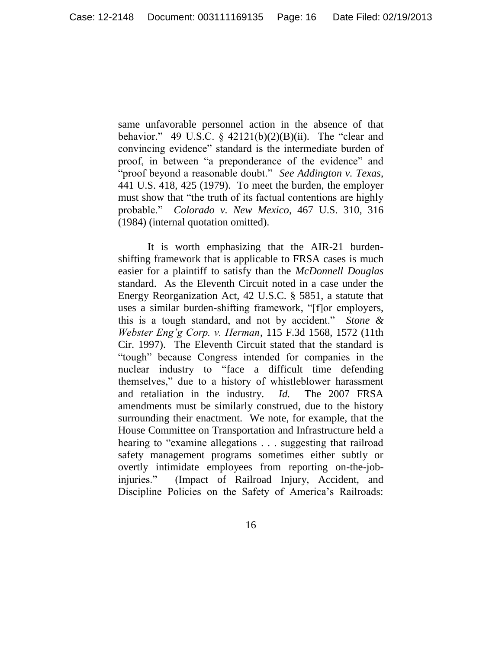same unfavorable personnel action in the absence of that behavior." 49 U.S.C. §  $42121(b)(2)(B)(ii)$ . The "clear and convincing evidence" standard is the intermediate burden of proof, in between "a preponderance of the evidence" and "proof beyond a reasonable doubt." *See Addington v. Texas*, 441 U.S. 418, 425 (1979). To meet the burden, the employer must show that "the truth of its factual contentions are highly probable." *Colorado v. New Mexico*, 467 U.S. 310, 316 (1984) (internal quotation omitted).

It is worth emphasizing that the AIR-21 burdenshifting framework that is applicable to FRSA cases is much easier for a plaintiff to satisfy than the *McDonnell Douglas*  standard. As the Eleventh Circuit noted in a case under the Energy Reorganization Act, 42 U.S.C. § 5851, a statute that uses a similar burden-shifting framework, "[f]or employers, this is a tough standard, and not by accident." *Stone & Webster Eng'g Corp. v. Herman*, 115 F.3d 1568, 1572 (11th Cir. 1997). The Eleventh Circuit stated that the standard is "tough" because Congress intended for companies in the nuclear industry to "face a difficult time defending themselves," due to a history of whistleblower harassment and retaliation in the industry. *Id.* The 2007 FRSA amendments must be similarly construed, due to the history surrounding their enactment. We note, for example, that the House Committee on Transportation and Infrastructure held a hearing to "examine allegations . . . suggesting that railroad safety management programs sometimes either subtly or overtly intimidate employees from reporting on-the-jobinjuries." (Impact of Railroad Injury, Accident, and Discipline Policies on the Safety of America's Railroads: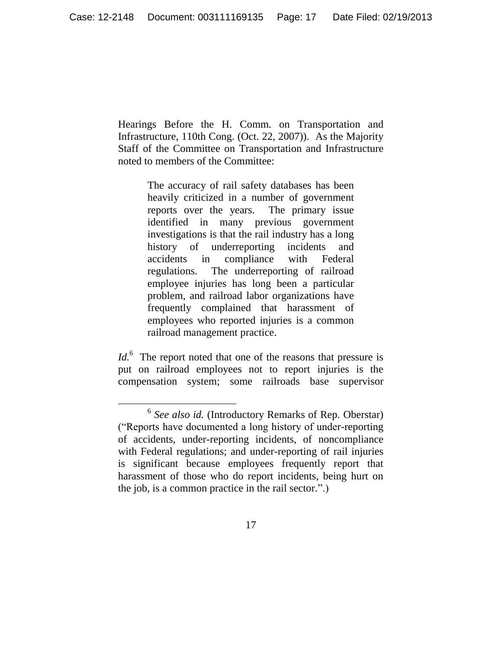Hearings Before the H. Comm. on Transportation and Infrastructure, 110th Cong. (Oct. 22, 2007)). As the Majority Staff of the Committee on Transportation and Infrastructure noted to members of the Committee:

> The accuracy of rail safety databases has been heavily criticized in a number of government reports over the years. The primary issue identified in many previous government investigations is that the rail industry has a long history of underreporting incidents and accidents in compliance with Federal regulations. The underreporting of railroad employee injuries has long been a particular problem, and railroad labor organizations have frequently complained that harassment of employees who reported injuries is a common railroad management practice.

Id.<sup>6</sup> The report noted that one of the reasons that pressure is put on railroad employees not to report injuries is the compensation system; some railroads base supervisor

 $\overline{a}$ 

<sup>&</sup>lt;sup>6</sup> See also id. (Introductory Remarks of Rep. Oberstar) ("Reports have documented a long history of under-reporting of accidents, under-reporting incidents, of noncompliance with Federal regulations; and under-reporting of rail injuries is significant because employees frequently report that harassment of those who do report incidents, being hurt on the job, is a common practice in the rail sector.".)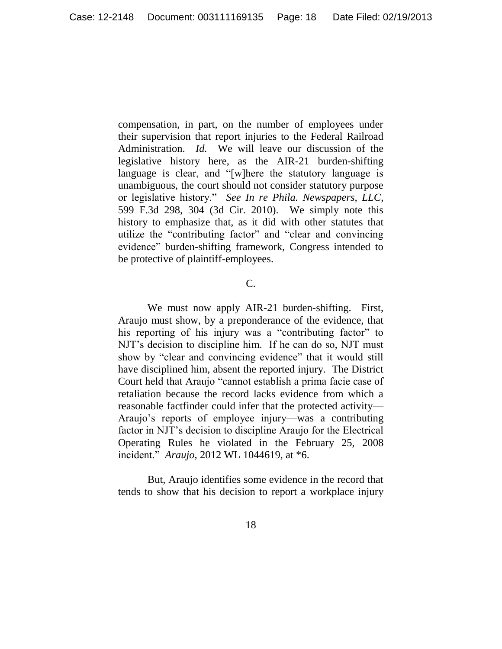compensation, in part, on the number of employees under their supervision that report injuries to the Federal Railroad Administration. *Id.* We will leave our discussion of the legislative history here, as the AIR-21 burden-shifting language is clear, and "[w]here the statutory language is unambiguous, the court should not consider statutory purpose or legislative history." *See In re Phila. Newspapers, LLC*, 599 F.3d 298, 304 (3d Cir. 2010). We simply note this history to emphasize that, as it did with other statutes that utilize the "contributing factor" and "clear and convincing evidence" burden-shifting framework, Congress intended to be protective of plaintiff-employees.

### C.

We must now apply AIR-21 burden-shifting. First, Araujo must show, by a preponderance of the evidence, that his reporting of his injury was a "contributing factor" to NJT's decision to discipline him. If he can do so, NJT must show by "clear and convincing evidence" that it would still have disciplined him, absent the reported injury. The District Court held that Araujo "cannot establish a prima facie case of retaliation because the record lacks evidence from which a reasonable factfinder could infer that the protected activity— Araujo's reports of employee injury—was a contributing factor in NJT's decision to discipline Araujo for the Electrical Operating Rules he violated in the February 25, 2008 incident." *Araujo*, 2012 WL 1044619, at \*6.

But, Araujo identifies some evidence in the record that tends to show that his decision to report a workplace injury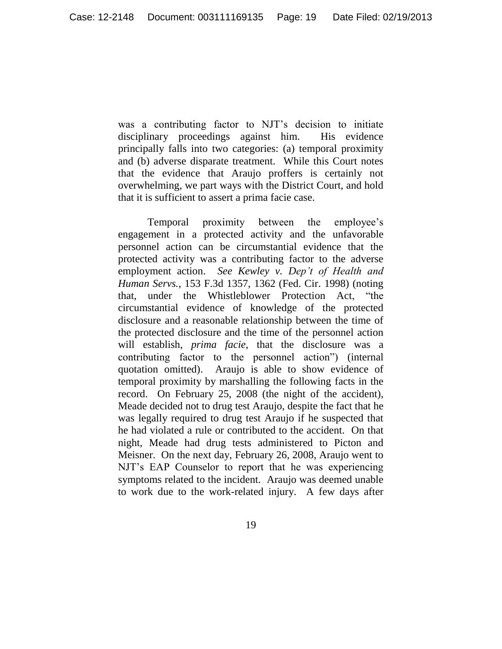was a contributing factor to NJT's decision to initiate disciplinary proceedings against him. His evidence principally falls into two categories: (a) temporal proximity and (b) adverse disparate treatment. While this Court notes that the evidence that Araujo proffers is certainly not overwhelming, we part ways with the District Court, and hold that it is sufficient to assert a prima facie case.

Temporal proximity between the employee's engagement in a protected activity and the unfavorable personnel action can be circumstantial evidence that the protected activity was a contributing factor to the adverse employment action. *See Kewley v. Dep't of Health and Human Servs.*, 153 F.3d 1357, 1362 (Fed. Cir. 1998) (noting that, under the Whistleblower Protection Act, "the circumstantial evidence of knowledge of the protected disclosure and a reasonable relationship between the time of the protected disclosure and the time of the personnel action will establish, *prima facie*, that the disclosure was a contributing factor to the personnel action") (internal quotation omitted). Araujo is able to show evidence of temporal proximity by marshalling the following facts in the record. On February 25, 2008 (the night of the accident), Meade decided not to drug test Araujo, despite the fact that he was legally required to drug test Araujo if he suspected that he had violated a rule or contributed to the accident. On that night, Meade had drug tests administered to Picton and Meisner. On the next day, February 26, 2008, Araujo went to NJT's EAP Counselor to report that he was experiencing symptoms related to the incident. Araujo was deemed unable to work due to the work-related injury. A few days after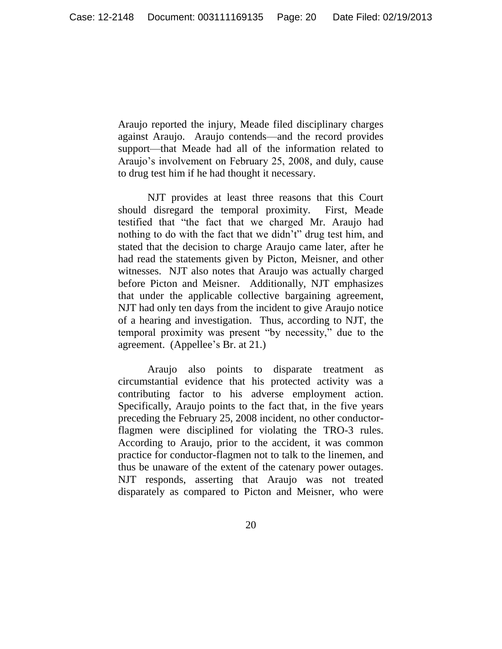Araujo reported the injury, Meade filed disciplinary charges against Araujo. Araujo contends—and the record provides support—that Meade had all of the information related to Araujo's involvement on February 25, 2008, and duly, cause to drug test him if he had thought it necessary.

NJT provides at least three reasons that this Court should disregard the temporal proximity. First, Meade testified that "the fact that we charged Mr. Araujo had nothing to do with the fact that we didn't" drug test him, and stated that the decision to charge Araujo came later, after he had read the statements given by Picton, Meisner, and other witnesses. NJT also notes that Araujo was actually charged before Picton and Meisner. Additionally, NJT emphasizes that under the applicable collective bargaining agreement, NJT had only ten days from the incident to give Araujo notice of a hearing and investigation. Thus, according to NJT, the temporal proximity was present "by necessity," due to the agreement. (Appellee's Br. at 21.)

Araujo also points to disparate treatment as circumstantial evidence that his protected activity was a contributing factor to his adverse employment action. Specifically, Araujo points to the fact that, in the five years preceding the February 25, 2008 incident, no other conductorflagmen were disciplined for violating the TRO-3 rules. According to Araujo, prior to the accident, it was common practice for conductor-flagmen not to talk to the linemen, and thus be unaware of the extent of the catenary power outages. NJT responds, asserting that Araujo was not treated disparately as compared to Picton and Meisner, who were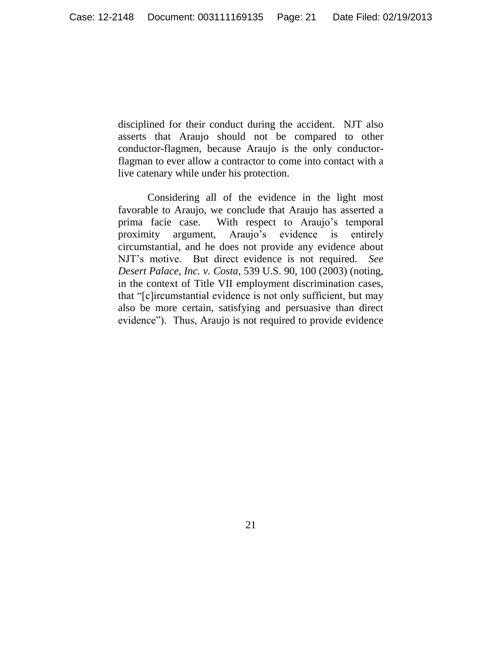disciplined for their conduct during the accident. NJT also asserts that Araujo should not be compared to other conductor-flagmen, because Araujo is the only conductorflagman to ever allow a contractor to come into contact with a live catenary while under his protection.

Considering all of the evidence in the light most favorable to Araujo, we conclude that Araujo has asserted a prima facie case. With respect to Araujo's temporal proximity argument, Araujo's evidence is entirely circumstantial, and he does not provide any evidence about NJT's motive. But direct evidence is not required. *See Desert Palace, Inc. v. Costa*, 539 U.S. 90, 100 (2003) (noting, in the context of Title VII employment discrimination cases, that "[c]ircumstantial evidence is not only sufficient, but may also be more certain, satisfying and persuasive than direct evidence"). Thus, Araujo is not required to provide evidence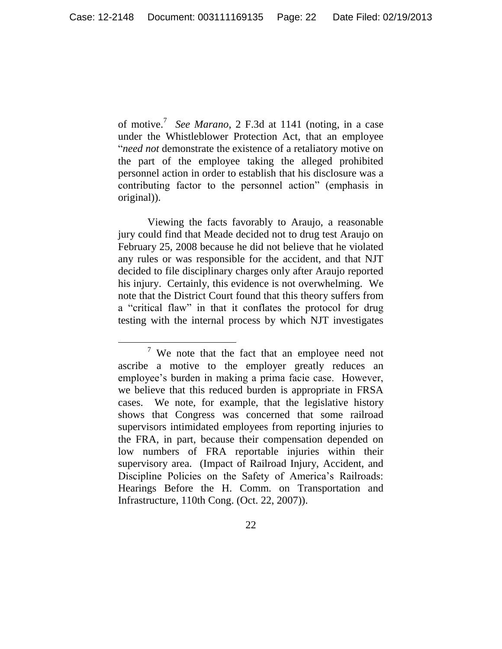of motive.<sup>7</sup> *See Marano*, 2 F.3d at 1141 (noting, in a case under the Whistleblower Protection Act, that an employee "*need not* demonstrate the existence of a retaliatory motive on the part of the employee taking the alleged prohibited personnel action in order to establish that his disclosure was a contributing factor to the personnel action" (emphasis in original)).

Viewing the facts favorably to Araujo, a reasonable jury could find that Meade decided not to drug test Araujo on February 25, 2008 because he did not believe that he violated any rules or was responsible for the accident, and that NJT decided to file disciplinary charges only after Araujo reported his injury. Certainly, this evidence is not overwhelming. We note that the District Court found that this theory suffers from a "critical flaw" in that it conflates the protocol for drug testing with the internal process by which NJT investigates

 $\overline{a}$ 

 $7$  We note that the fact that an employee need not ascribe a motive to the employer greatly reduces an employee's burden in making a prima facie case. However, we believe that this reduced burden is appropriate in FRSA cases. We note, for example, that the legislative history shows that Congress was concerned that some railroad supervisors intimidated employees from reporting injuries to the FRA, in part, because their compensation depended on low numbers of FRA reportable injuries within their supervisory area. (Impact of Railroad Injury, Accident, and Discipline Policies on the Safety of America's Railroads: Hearings Before the H. Comm. on Transportation and Infrastructure, 110th Cong. (Oct. 22, 2007)).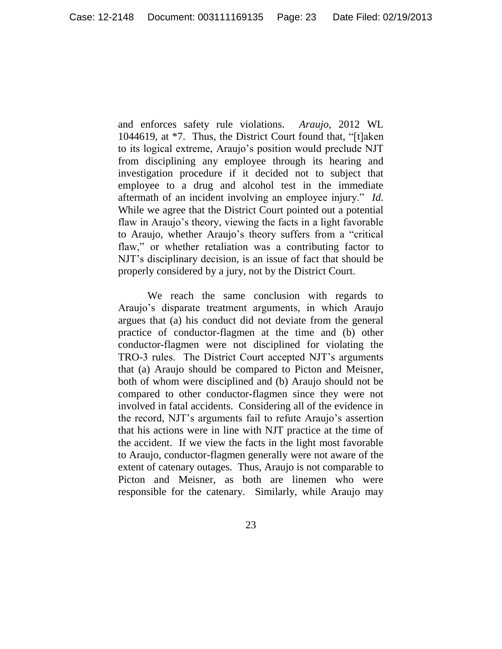and enforces safety rule violations. *Araujo*, 2012 WL 1044619, at \*7. Thus, the District Court found that, "[t]aken to its logical extreme, Araujo's position would preclude NJT from disciplining any employee through its hearing and investigation procedure if it decided not to subject that employee to a drug and alcohol test in the immediate aftermath of an incident involving an employee injury." *Id.* While we agree that the District Court pointed out a potential flaw in Araujo's theory, viewing the facts in a light favorable to Araujo, whether Araujo's theory suffers from a "critical flaw," or whether retaliation was a contributing factor to NJT's disciplinary decision, is an issue of fact that should be properly considered by a jury, not by the District Court.

We reach the same conclusion with regards to Araujo's disparate treatment arguments, in which Araujo argues that (a) his conduct did not deviate from the general practice of conductor-flagmen at the time and (b) other conductor-flagmen were not disciplined for violating the TRO-3 rules. The District Court accepted NJT's arguments that (a) Araujo should be compared to Picton and Meisner, both of whom were disciplined and (b) Araujo should not be compared to other conductor-flagmen since they were not involved in fatal accidents. Considering all of the evidence in the record, NJT's arguments fail to refute Araujo's assertion that his actions were in line with NJT practice at the time of the accident. If we view the facts in the light most favorable to Araujo, conductor-flagmen generally were not aware of the extent of catenary outages. Thus, Araujo is not comparable to Picton and Meisner, as both are linemen who were responsible for the catenary. Similarly, while Araujo may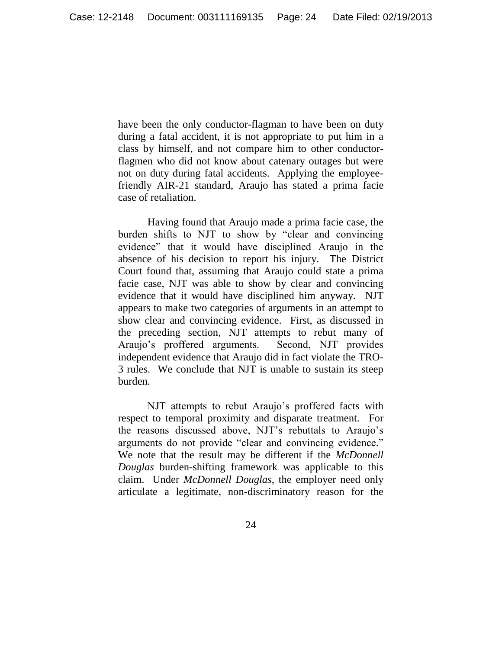have been the only conductor-flagman to have been on duty during a fatal accident, it is not appropriate to put him in a class by himself, and not compare him to other conductorflagmen who did not know about catenary outages but were not on duty during fatal accidents. Applying the employeefriendly AIR-21 standard, Araujo has stated a prima facie case of retaliation.

Having found that Araujo made a prima facie case, the burden shifts to NJT to show by "clear and convincing evidence" that it would have disciplined Araujo in the absence of his decision to report his injury. The District Court found that, assuming that Araujo could state a prima facie case, NJT was able to show by clear and convincing evidence that it would have disciplined him anyway. NJT appears to make two categories of arguments in an attempt to show clear and convincing evidence. First, as discussed in the preceding section, NJT attempts to rebut many of Araujo's proffered arguments. Second, NJT provides independent evidence that Araujo did in fact violate the TRO-3 rules. We conclude that NJT is unable to sustain its steep burden.

NJT attempts to rebut Araujo's proffered facts with respect to temporal proximity and disparate treatment. For the reasons discussed above, NJT's rebuttals to Araujo's arguments do not provide "clear and convincing evidence." We note that the result may be different if the *McDonnell Douglas* burden-shifting framework was applicable to this claim. Under *McDonnell Douglas*, the employer need only articulate a legitimate, non-discriminatory reason for the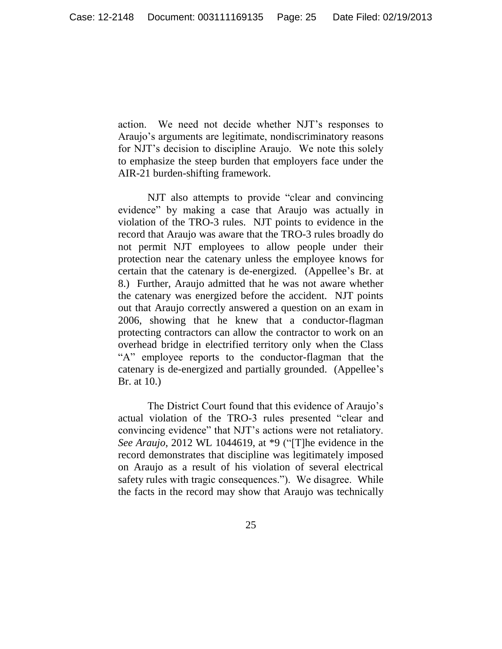action. We need not decide whether NJT's responses to Araujo's arguments are legitimate, nondiscriminatory reasons for NJT's decision to discipline Araujo. We note this solely to emphasize the steep burden that employers face under the AIR-21 burden-shifting framework.

NJT also attempts to provide "clear and convincing evidence" by making a case that Araujo was actually in violation of the TRO-3 rules. NJT points to evidence in the record that Araujo was aware that the TRO-3 rules broadly do not permit NJT employees to allow people under their protection near the catenary unless the employee knows for certain that the catenary is de-energized. (Appellee's Br. at 8.) Further, Araujo admitted that he was not aware whether the catenary was energized before the accident. NJT points out that Araujo correctly answered a question on an exam in 2006, showing that he knew that a conductor-flagman protecting contractors can allow the contractor to work on an overhead bridge in electrified territory only when the Class "A" employee reports to the conductor-flagman that the catenary is de-energized and partially grounded. (Appellee's Br. at 10.)

The District Court found that this evidence of Araujo's actual violation of the TRO-3 rules presented "clear and convincing evidence" that NJT's actions were not retaliatory. *See Araujo*, 2012 WL 1044619, at \*9 ("[T]he evidence in the record demonstrates that discipline was legitimately imposed on Araujo as a result of his violation of several electrical safety rules with tragic consequences."). We disagree. While the facts in the record may show that Araujo was technically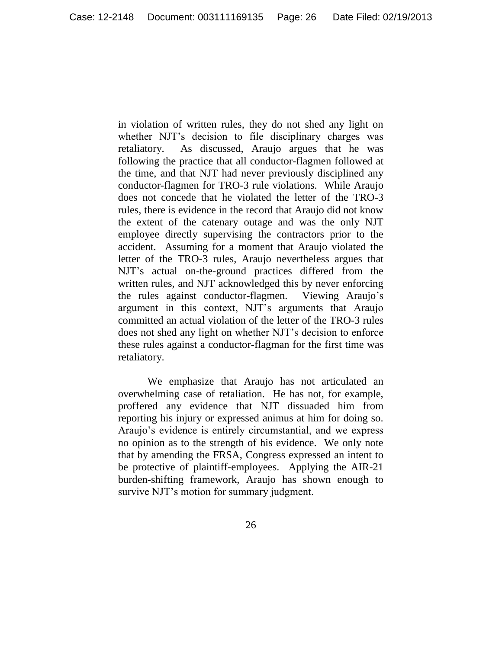in violation of written rules, they do not shed any light on whether NJT's decision to file disciplinary charges was retaliatory. As discussed, Araujo argues that he was following the practice that all conductor-flagmen followed at the time, and that NJT had never previously disciplined any conductor-flagmen for TRO-3 rule violations. While Araujo does not concede that he violated the letter of the TRO-3 rules, there is evidence in the record that Araujo did not know the extent of the catenary outage and was the only NJT employee directly supervising the contractors prior to the accident. Assuming for a moment that Araujo violated the letter of the TRO-3 rules, Araujo nevertheless argues that NJT's actual on-the-ground practices differed from the written rules, and NJT acknowledged this by never enforcing the rules against conductor-flagmen. Viewing Araujo's argument in this context, NJT's arguments that Araujo committed an actual violation of the letter of the TRO-3 rules does not shed any light on whether NJT's decision to enforce these rules against a conductor-flagman for the first time was retaliatory.

We emphasize that Araujo has not articulated an overwhelming case of retaliation. He has not, for example, proffered any evidence that NJT dissuaded him from reporting his injury or expressed animus at him for doing so. Araujo's evidence is entirely circumstantial, and we express no opinion as to the strength of his evidence. We only note that by amending the FRSA, Congress expressed an intent to be protective of plaintiff-employees. Applying the AIR-21 burden-shifting framework, Araujo has shown enough to survive NJT's motion for summary judgment.